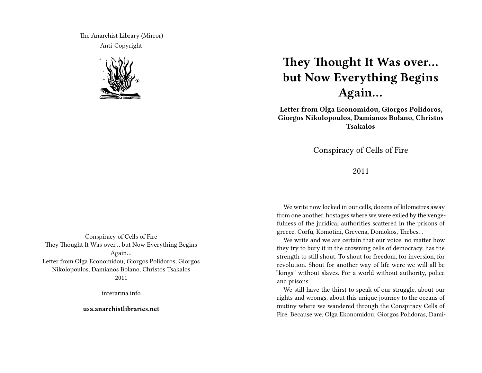The Anarchist Library (Mirror) Anti-Copyright



# **They Thought It Was over… but Now Everything Begins Again…**

**Letter from Olga Economidou, Giorgos Polidoros, Giorgos Nikolopoulos, Damianos Bolano, Christos Tsakalos**

Conspiracy of Cells of Fire

2011

We write now locked in our cells, dozens of kilometres away from one another, hostages where we were exiled by the vengefulness of the juridical authorities scattered in the prisons of greece, Corfu, Komotini, Grevena, Domokos, Thebes…

We write and we are certain that our voice, no matter how they try to bury it in the drowning cells of democracy, has the strength to still shout. To shout for freedom, for inversion, for revolution. Shout for another way of life were we will all be "kings" without slaves. For a world without authority, police and prisons.

We still have the thirst to speak of our struggle, about our rights and wrongs, about this unique journey to the oceans of mutiny where we wandered through the Conspiracy Cells of Fire. Because we, Olga Ekonomidou, Giorgos Polidoras, Dami-

Conspiracy of Cells of Fire They Thought It Was over… but Now Everything Begins Again… Letter from Olga Economidou, Giorgos Polidoros, Giorgos Nikolopoulos, Damianos Bolano, Christos Tsakalos 2011

interarma.info

**usa.anarchistlibraries.net**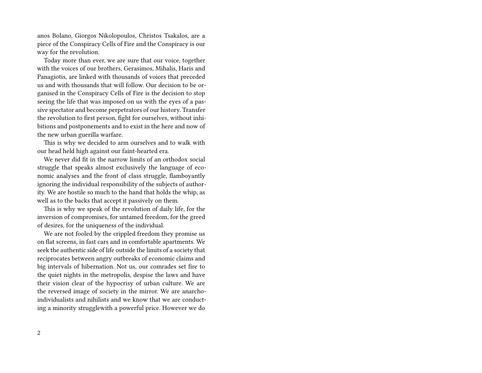anos Bolano, Giorgos Nikolopoulos, Christos Tsakalos, are a piece of the Conspiracy Cells of Fire and the Conspiracy is our way for the revolution.

Today more than ever, we are sure that our voice, together with the voices of our brothers, Gerasimos, Mihalis, Haris and Panagiotis, are linked with thousands of voices that preceded us and with thousands that will follow. Our decision to be organised in the Conspiracy Cells of Fire is the decision to stop seeing the life that was imposed on us with the eyes of a passive spectator and become perpetrators of our history. Transfer the revolution to first person, fight for ourselves, without inhibitions and postponements and to exist in the here and now of the new urban guerilla warfare.

This is why we decided to arm ourselves and to walk with our head held high against our faint-hearted era.

We never did fit in the narrow limits of an orthodox social struggle that speaks almost exclusively the language of economic analyses and the front of class struggle, flamboyantly ignoring the individual responsibility of the subjects of authority. We are hostile so much to the hand that holds the whip, as well as to the backs that accept it passively on them.

This is why we speak of the revolution of daily life, for the inversion of compromises, for untamed freedom, for the greed of desires, for the uniqueness of the individual.

We are not fooled by the crippled freedom they promise us on flat screens, in fast cars and in comfortable apartments. We seek the authentic side of life outside the limits of a society that reciprocates between angry outbreaks of economic claims and big intervals of hibernation. Not us, our comrades set fire to the quiet nights in the metropolis, despise the laws and have their vision clear of the hypocrisy of urban culture. We are the reversed image of society in the mirror. We are anarchoindividualists and nihilists and we know that we are conducting a minority strugglewith a powerful price. However we do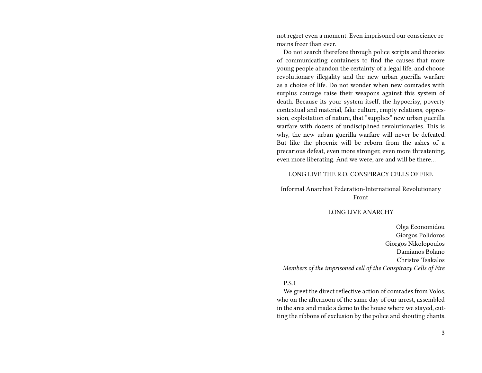not regret even a moment. Even imprisoned our conscience remains freer than ever.

Do not search therefore through police scripts and theories of communicating containers to find the causes that more young people abandon the certainty of a legal life, and choose revolutionary illegality and the new urban guerilla warfare as a choice of life. Do not wonder when new comrades with surplus courage raise their weapons against this system of death. Because its your system itself, the hypocrisy, poverty contextual and material, fake culture, empty relations, oppression, exploitation of nature, that "supplies" new urban guerilla warfare with dozens of undisciplined revolutionaries. This is why, the new urban guerilla warfare will never be defeated. But like the phoenix will be reborn from the ashes of a precarious defeat, even more stronger, even more threatening, even more liberating. And we were, are and will be there…

### LONG LIVE THE R.O. CONSPIRACY CELLS OF FIRE

Informal Anarchist Federation-International Revolutionary Front

#### LONG LIVE ANARCHY

Olga Economidou Giorgos Polidoros Giorgos Nikolopoulos Damianos Bolano Christos Tsakalos *Members of the imprisoned cell of the Conspiracy Cells of Fire*

#### P.S.1

We greet the direct reflective action of comrades from Volos, who on the afternoon of the same day of our arrest, assembled in the area and made a demo to the house where we stayed, cutting the ribbons of exclusion by the police and shouting chants.